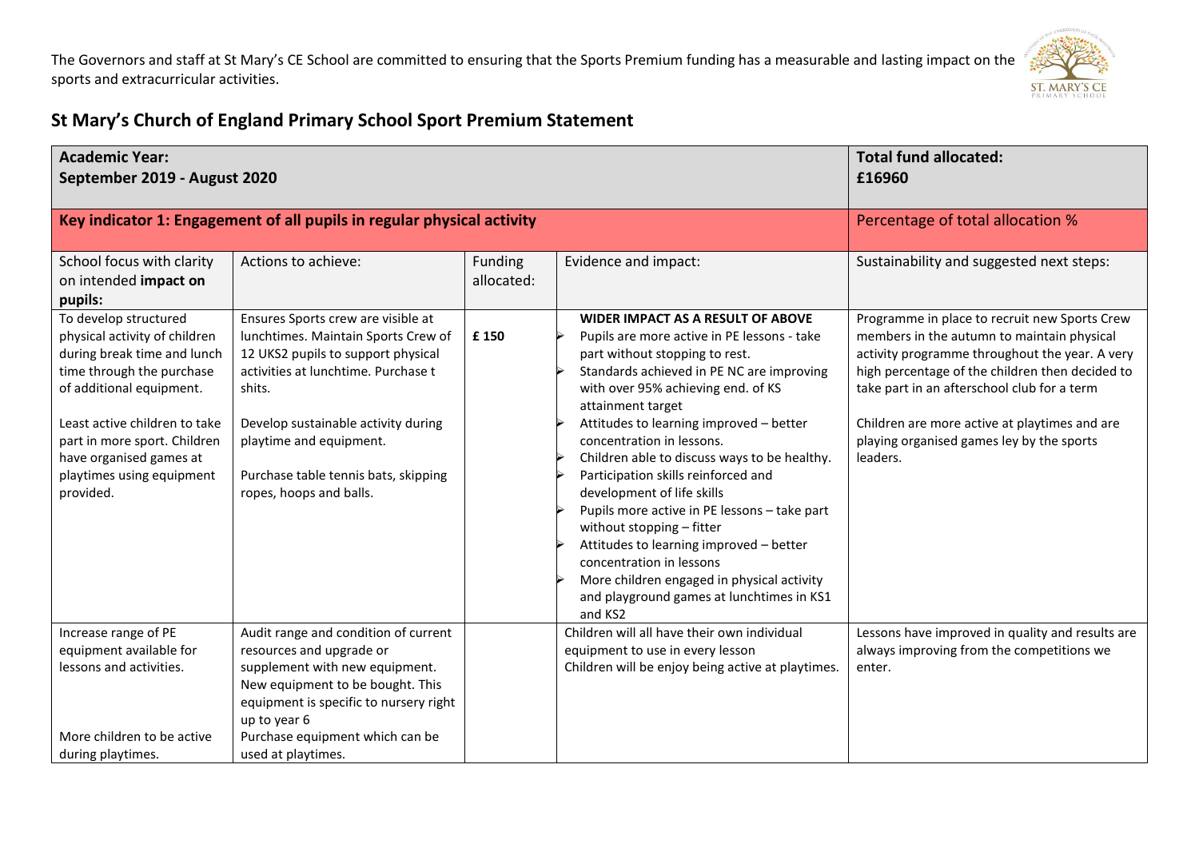

## **St Mary's Church of England Primary School Sport Premium Statement**

| <b>Academic Year:</b><br>September 2019 - August 2020                                                                                                                                                                                                                                |                                                                                                                                                                                                                                                                                                       | <b>Total fund allocated:</b><br>£16960 |                                                                                                                                                                                                                                                                                                                                                                                                                                                                                                                                                                                                                                                                                          |                                                                                                                                                                                                                                                                                                                                                           |
|--------------------------------------------------------------------------------------------------------------------------------------------------------------------------------------------------------------------------------------------------------------------------------------|-------------------------------------------------------------------------------------------------------------------------------------------------------------------------------------------------------------------------------------------------------------------------------------------------------|----------------------------------------|------------------------------------------------------------------------------------------------------------------------------------------------------------------------------------------------------------------------------------------------------------------------------------------------------------------------------------------------------------------------------------------------------------------------------------------------------------------------------------------------------------------------------------------------------------------------------------------------------------------------------------------------------------------------------------------|-----------------------------------------------------------------------------------------------------------------------------------------------------------------------------------------------------------------------------------------------------------------------------------------------------------------------------------------------------------|
|                                                                                                                                                                                                                                                                                      | Key indicator 1: Engagement of all pupils in regular physical activity                                                                                                                                                                                                                                |                                        |                                                                                                                                                                                                                                                                                                                                                                                                                                                                                                                                                                                                                                                                                          | Percentage of total allocation %                                                                                                                                                                                                                                                                                                                          |
| School focus with clarity<br>on intended impact on<br>pupils:                                                                                                                                                                                                                        | Actions to achieve:                                                                                                                                                                                                                                                                                   | Funding<br>allocated:                  | Evidence and impact:                                                                                                                                                                                                                                                                                                                                                                                                                                                                                                                                                                                                                                                                     | Sustainability and suggested next steps:                                                                                                                                                                                                                                                                                                                  |
| To develop structured<br>physical activity of children<br>during break time and lunch<br>time through the purchase<br>of additional equipment.<br>Least active children to take<br>part in more sport. Children<br>have organised games at<br>playtimes using equipment<br>provided. | Ensures Sports crew are visible at<br>lunchtimes. Maintain Sports Crew of<br>12 UKS2 pupils to support physical<br>activities at lunchtime. Purchase t<br>shits.<br>Develop sustainable activity during<br>playtime and equipment.<br>Purchase table tennis bats, skipping<br>ropes, hoops and balls. | £150                                   | <b>WIDER IMPACT AS A RESULT OF ABOVE</b><br>Pupils are more active in PE lessons - take<br>part without stopping to rest.<br>Standards achieved in PE NC are improving<br>with over 95% achieving end. of KS<br>attainment target<br>Attitudes to learning improved - better<br>concentration in lessons.<br>Children able to discuss ways to be healthy.<br>Participation skills reinforced and<br>development of life skills<br>Pupils more active in PE lessons - take part<br>without stopping - fitter<br>Attitudes to learning improved - better<br>concentration in lessons<br>More children engaged in physical activity<br>and playground games at lunchtimes in KS1<br>and KS2 | Programme in place to recruit new Sports Crew<br>members in the autumn to maintain physical<br>activity programme throughout the year. A very<br>high percentage of the children then decided to<br>take part in an afterschool club for a term<br>Children are more active at playtimes and are<br>playing organised games ley by the sports<br>leaders. |
| Increase range of PE<br>equipment available for<br>lessons and activities.<br>More children to be active                                                                                                                                                                             | Audit range and condition of current<br>resources and upgrade or<br>supplement with new equipment.<br>New equipment to be bought. This<br>equipment is specific to nursery right<br>up to year 6<br>Purchase equipment which can be                                                                   |                                        | Children will all have their own individual<br>equipment to use in every lesson<br>Children will be enjoy being active at playtimes.                                                                                                                                                                                                                                                                                                                                                                                                                                                                                                                                                     | Lessons have improved in quality and results are<br>always improving from the competitions we<br>enter.                                                                                                                                                                                                                                                   |
| during playtimes.                                                                                                                                                                                                                                                                    | used at playtimes.                                                                                                                                                                                                                                                                                    |                                        |                                                                                                                                                                                                                                                                                                                                                                                                                                                                                                                                                                                                                                                                                          |                                                                                                                                                                                                                                                                                                                                                           |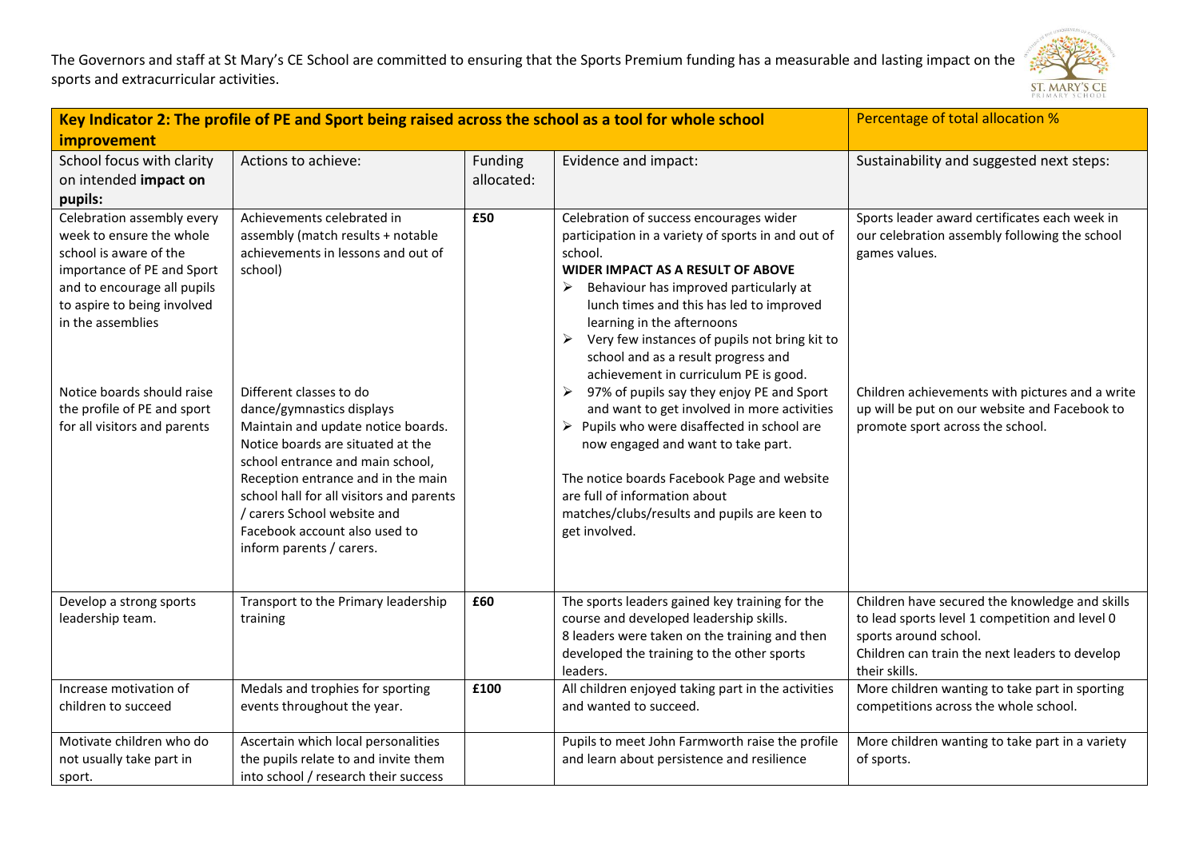

| Key Indicator 2: The profile of PE and Sport being raised across the school as a tool for whole school                                                                                                                                                                                         |                                                                                                                                                                                                                                                                                                                                                                                                                                                                       |                       | Percentage of total allocation %                                                                                                                                                                                                                                                                                                                                                                                                                                                                                                                                                                                                                                                                                                                                     |                                                                                                                                                                                                                                                         |
|------------------------------------------------------------------------------------------------------------------------------------------------------------------------------------------------------------------------------------------------------------------------------------------------|-----------------------------------------------------------------------------------------------------------------------------------------------------------------------------------------------------------------------------------------------------------------------------------------------------------------------------------------------------------------------------------------------------------------------------------------------------------------------|-----------------------|----------------------------------------------------------------------------------------------------------------------------------------------------------------------------------------------------------------------------------------------------------------------------------------------------------------------------------------------------------------------------------------------------------------------------------------------------------------------------------------------------------------------------------------------------------------------------------------------------------------------------------------------------------------------------------------------------------------------------------------------------------------------|---------------------------------------------------------------------------------------------------------------------------------------------------------------------------------------------------------------------------------------------------------|
| improvement                                                                                                                                                                                                                                                                                    |                                                                                                                                                                                                                                                                                                                                                                                                                                                                       |                       |                                                                                                                                                                                                                                                                                                                                                                                                                                                                                                                                                                                                                                                                                                                                                                      |                                                                                                                                                                                                                                                         |
| School focus with clarity<br>on intended impact on<br>pupils:                                                                                                                                                                                                                                  | Actions to achieve:                                                                                                                                                                                                                                                                                                                                                                                                                                                   | Funding<br>allocated: | Evidence and impact:                                                                                                                                                                                                                                                                                                                                                                                                                                                                                                                                                                                                                                                                                                                                                 | Sustainability and suggested next steps:                                                                                                                                                                                                                |
| Celebration assembly every<br>week to ensure the whole<br>school is aware of the<br>importance of PE and Sport<br>and to encourage all pupils<br>to aspire to being involved<br>in the assemblies<br>Notice boards should raise<br>the profile of PE and sport<br>for all visitors and parents | Achievements celebrated in<br>assembly (match results + notable<br>achievements in lessons and out of<br>school)<br>Different classes to do<br>dance/gymnastics displays<br>Maintain and update notice boards.<br>Notice boards are situated at the<br>school entrance and main school,<br>Reception entrance and in the main<br>school hall for all visitors and parents<br>/ carers School website and<br>Facebook account also used to<br>inform parents / carers. | £50                   | Celebration of success encourages wider<br>participation in a variety of sports in and out of<br>school.<br><b>WIDER IMPACT AS A RESULT OF ABOVE</b><br>Behaviour has improved particularly at<br>lunch times and this has led to improved<br>learning in the afternoons<br>Very few instances of pupils not bring kit to<br>➤<br>school and as a result progress and<br>achievement in curriculum PE is good.<br>97% of pupils say they enjoy PE and Sport<br>➤<br>and want to get involved in more activities<br>$\triangleright$ Pupils who were disaffected in school are<br>now engaged and want to take part.<br>The notice boards Facebook Page and website<br>are full of information about<br>matches/clubs/results and pupils are keen to<br>get involved. | Sports leader award certificates each week in<br>our celebration assembly following the school<br>games values.<br>Children achievements with pictures and a write<br>up will be put on our website and Facebook to<br>promote sport across the school. |
| Develop a strong sports<br>leadership team.                                                                                                                                                                                                                                                    | Transport to the Primary leadership<br>training                                                                                                                                                                                                                                                                                                                                                                                                                       | £60                   | The sports leaders gained key training for the<br>course and developed leadership skills.<br>8 leaders were taken on the training and then<br>developed the training to the other sports<br>leaders.                                                                                                                                                                                                                                                                                                                                                                                                                                                                                                                                                                 | Children have secured the knowledge and skills<br>to lead sports level 1 competition and level 0<br>sports around school.<br>Children can train the next leaders to develop<br>their skills.                                                            |
| Increase motivation of<br>children to succeed                                                                                                                                                                                                                                                  | Medals and trophies for sporting<br>events throughout the year.                                                                                                                                                                                                                                                                                                                                                                                                       | £100                  | All children enjoyed taking part in the activities<br>and wanted to succeed.                                                                                                                                                                                                                                                                                                                                                                                                                                                                                                                                                                                                                                                                                         | More children wanting to take part in sporting<br>competitions across the whole school.                                                                                                                                                                 |
| Motivate children who do<br>not usually take part in<br>sport.                                                                                                                                                                                                                                 | Ascertain which local personalities<br>the pupils relate to and invite them<br>into school / research their success                                                                                                                                                                                                                                                                                                                                                   |                       | Pupils to meet John Farmworth raise the profile<br>and learn about persistence and resilience                                                                                                                                                                                                                                                                                                                                                                                                                                                                                                                                                                                                                                                                        | More children wanting to take part in a variety<br>of sports.                                                                                                                                                                                           |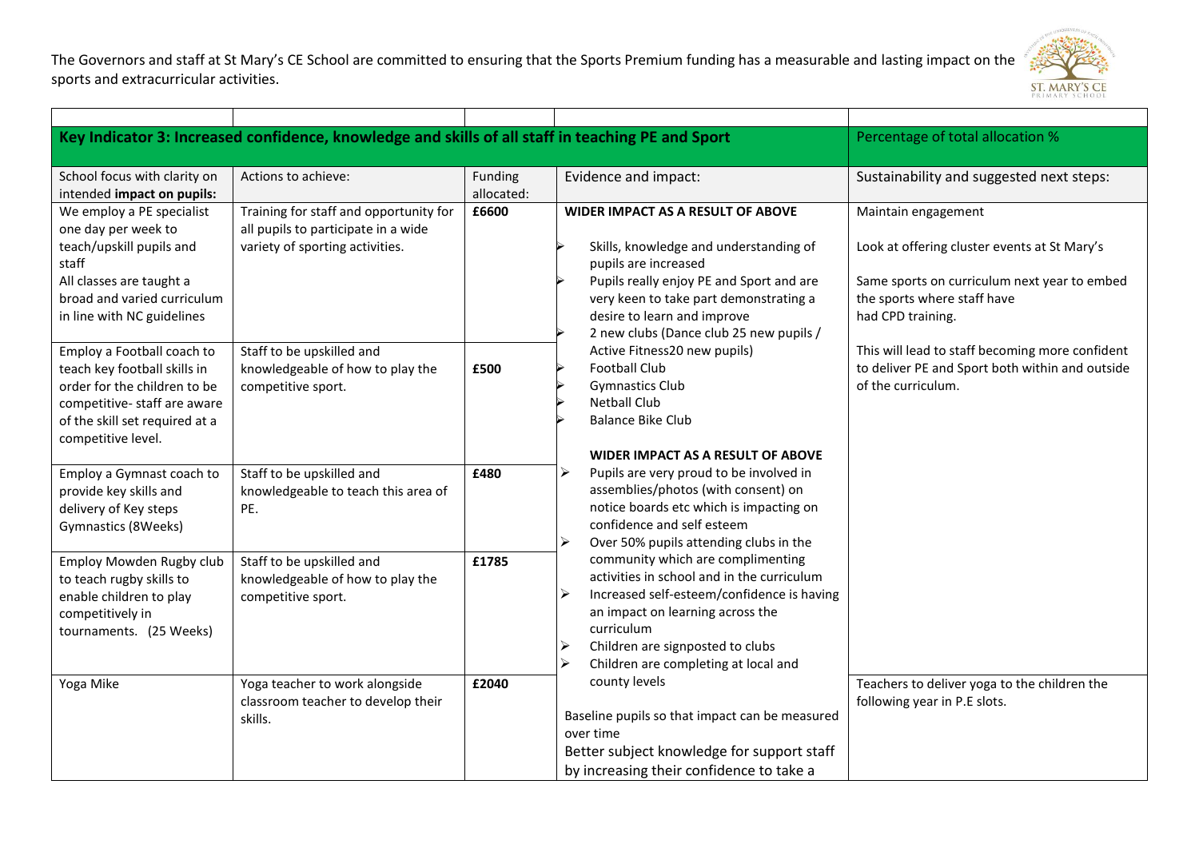

|                                                                                                                                                                                   | Key Indicator 3: Increased confidence, knowledge and skills of all staff in teaching PE and Sport                |                       |                                                                                                                                                                                                                                                                                                                                                                                                                                                                            | Percentage of total allocation %                                                                                                                                        |
|-----------------------------------------------------------------------------------------------------------------------------------------------------------------------------------|------------------------------------------------------------------------------------------------------------------|-----------------------|----------------------------------------------------------------------------------------------------------------------------------------------------------------------------------------------------------------------------------------------------------------------------------------------------------------------------------------------------------------------------------------------------------------------------------------------------------------------------|-------------------------------------------------------------------------------------------------------------------------------------------------------------------------|
| School focus with clarity on<br>intended impact on pupils:                                                                                                                        | Actions to achieve:                                                                                              | Funding<br>allocated: | Evidence and impact:                                                                                                                                                                                                                                                                                                                                                                                                                                                       | Sustainability and suggested next steps:                                                                                                                                |
| We employ a PE specialist<br>one day per week to<br>teach/upskill pupils and<br>staff<br>All classes are taught a<br>broad and varied curriculum<br>in line with NC guidelines    | Training for staff and opportunity for<br>all pupils to participate in a wide<br>variety of sporting activities. | £6600                 | WIDER IMPACT AS A RESULT OF ABOVE<br>Skills, knowledge and understanding of<br>pupils are increased<br>Pupils really enjoy PE and Sport and are<br>very keen to take part demonstrating a<br>desire to learn and improve                                                                                                                                                                                                                                                   | Maintain engagement<br>Look at offering cluster events at St Mary's<br>Same sports on curriculum next year to embed<br>the sports where staff have<br>had CPD training. |
| Employ a Football coach to<br>teach key football skills in<br>order for the children to be<br>competitive-staff are aware<br>of the skill set required at a<br>competitive level. | Staff to be upskilled and<br>knowledgeable of how to play the<br>competitive sport.                              | £500                  | 2 new clubs (Dance club 25 new pupils /<br>Active Fitness20 new pupils)<br><b>Football Club</b><br><b>Gymnastics Club</b><br><b>Netball Club</b><br><b>Balance Bike Club</b>                                                                                                                                                                                                                                                                                               | This will lead to staff becoming more confident<br>to deliver PE and Sport both within and outside<br>of the curriculum.                                                |
| Employ a Gymnast coach to<br>provide key skills and<br>delivery of Key steps<br>Gymnastics (8Weeks)                                                                               | Staff to be upskilled and<br>knowledgeable to teach this area of<br>PE.                                          | £480                  | WIDER IMPACT AS A RESULT OF ABOVE<br>Pupils are very proud to be involved in<br>assemblies/photos (with consent) on<br>notice boards etc which is impacting on<br>confidence and self esteem<br>Over 50% pupils attending clubs in the                                                                                                                                                                                                                                     |                                                                                                                                                                         |
| Employ Mowden Rugby club<br>to teach rugby skills to<br>enable children to play<br>competitively in<br>tournaments. (25 Weeks)                                                    | Staff to be upskilled and<br>knowledgeable of how to play the<br>competitive sport.                              | £1785                 | community which are complimenting<br>activities in school and in the curriculum<br>Increased self-esteem/confidence is having<br>an impact on learning across the<br>curriculum<br>Children are signposted to clubs<br>↘<br>Children are completing at local and<br>county levels<br>following year in P.E slots.<br>Baseline pupils so that impact can be measured<br>over time<br>Better subject knowledge for support staff<br>by increasing their confidence to take a |                                                                                                                                                                         |
| Yoga Mike                                                                                                                                                                         | Yoga teacher to work alongside<br>classroom teacher to develop their<br>skills.                                  | £2040                 |                                                                                                                                                                                                                                                                                                                                                                                                                                                                            | Teachers to deliver yoga to the children the                                                                                                                            |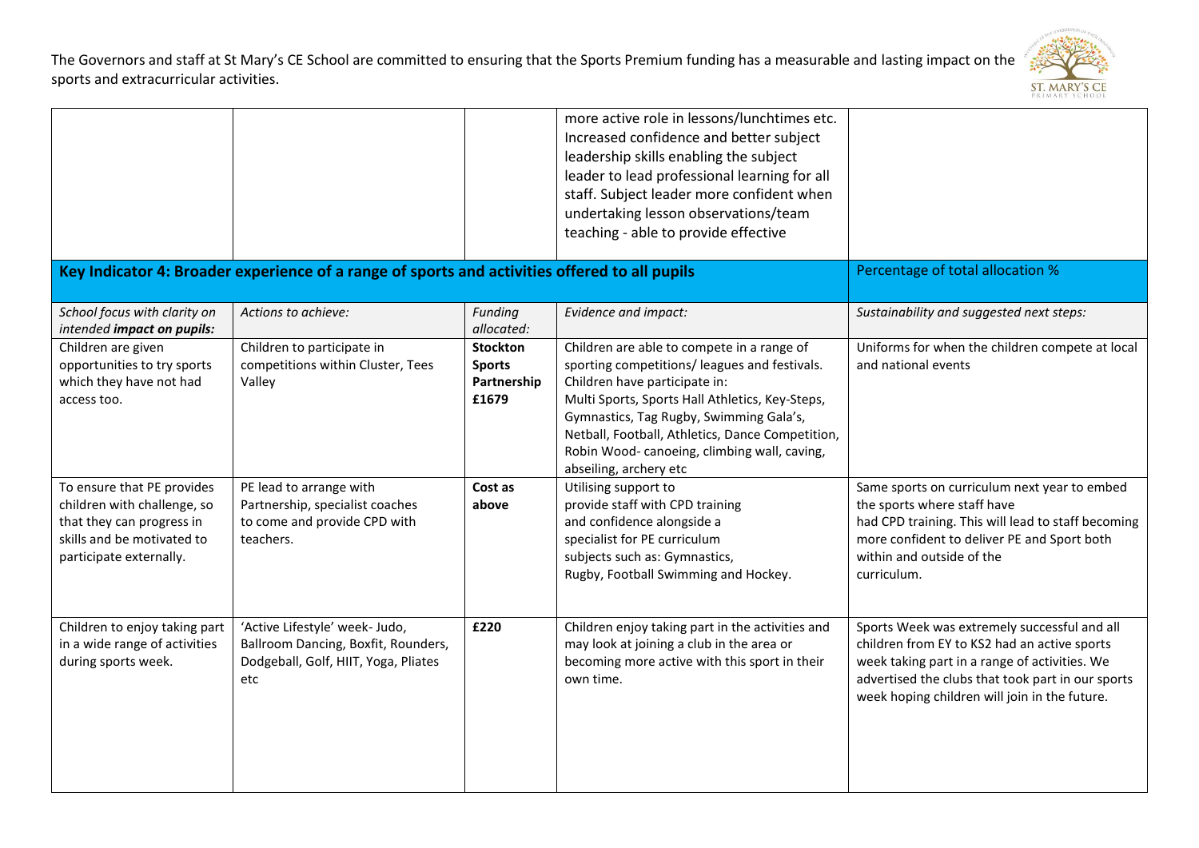

|                                                                                                                                                 |                                                                                                                      |                                                          | more active role in lessons/lunchtimes etc.<br>Increased confidence and better subject<br>leadership skills enabling the subject<br>leader to lead professional learning for all<br>staff. Subject leader more confident when<br>undertaking lesson observations/team<br>teaching - able to provide effective                                           |                                                                                                                                                                                                                                                     |
|-------------------------------------------------------------------------------------------------------------------------------------------------|----------------------------------------------------------------------------------------------------------------------|----------------------------------------------------------|---------------------------------------------------------------------------------------------------------------------------------------------------------------------------------------------------------------------------------------------------------------------------------------------------------------------------------------------------------|-----------------------------------------------------------------------------------------------------------------------------------------------------------------------------------------------------------------------------------------------------|
|                                                                                                                                                 | Key Indicator 4: Broader experience of a range of sports and activities offered to all pupils                        |                                                          |                                                                                                                                                                                                                                                                                                                                                         | Percentage of total allocation %                                                                                                                                                                                                                    |
| School focus with clarity on<br>intended impact on pupils:                                                                                      | Actions to achieve:                                                                                                  | Funding<br>allocated:                                    | Evidence and impact:                                                                                                                                                                                                                                                                                                                                    | Sustainability and suggested next steps:                                                                                                                                                                                                            |
| Children are given<br>opportunities to try sports<br>which they have not had<br>access too.                                                     | Children to participate in<br>competitions within Cluster, Tees<br>Valley                                            | <b>Stockton</b><br><b>Sports</b><br>Partnership<br>£1679 | Children are able to compete in a range of<br>sporting competitions/ leagues and festivals.<br>Children have participate in:<br>Multi Sports, Sports Hall Athletics, Key-Steps,<br>Gymnastics, Tag Rugby, Swimming Gala's,<br>Netball, Football, Athletics, Dance Competition,<br>Robin Wood-canoeing, climbing wall, caving,<br>abseiling, archery etc | Uniforms for when the children compete at local<br>and national events                                                                                                                                                                              |
| To ensure that PE provides<br>children with challenge, so<br>that they can progress in<br>skills and be motivated to<br>participate externally. | PE lead to arrange with<br>Partnership, specialist coaches<br>to come and provide CPD with<br>teachers.              | Cost as<br>above                                         | Utilising support to<br>provide staff with CPD training<br>and confidence alongside a<br>specialist for PE curriculum<br>subjects such as: Gymnastics,<br>Rugby, Football Swimming and Hockey.                                                                                                                                                          | Same sports on curriculum next year to embed<br>the sports where staff have<br>had CPD training. This will lead to staff becoming<br>more confident to deliver PE and Sport both<br>within and outside of the<br>curriculum.                        |
| Children to enjoy taking part<br>in a wide range of activities<br>during sports week.                                                           | 'Active Lifestyle' week- Judo,<br>Ballroom Dancing, Boxfit, Rounders,<br>Dodgeball, Golf, HIIT, Yoga, Pliates<br>etc | £220                                                     | Children enjoy taking part in the activities and<br>may look at joining a club in the area or<br>becoming more active with this sport in their<br>own time.                                                                                                                                                                                             | Sports Week was extremely successful and all<br>children from EY to KS2 had an active sports<br>week taking part in a range of activities. We<br>advertised the clubs that took part in our sports<br>week hoping children will join in the future. |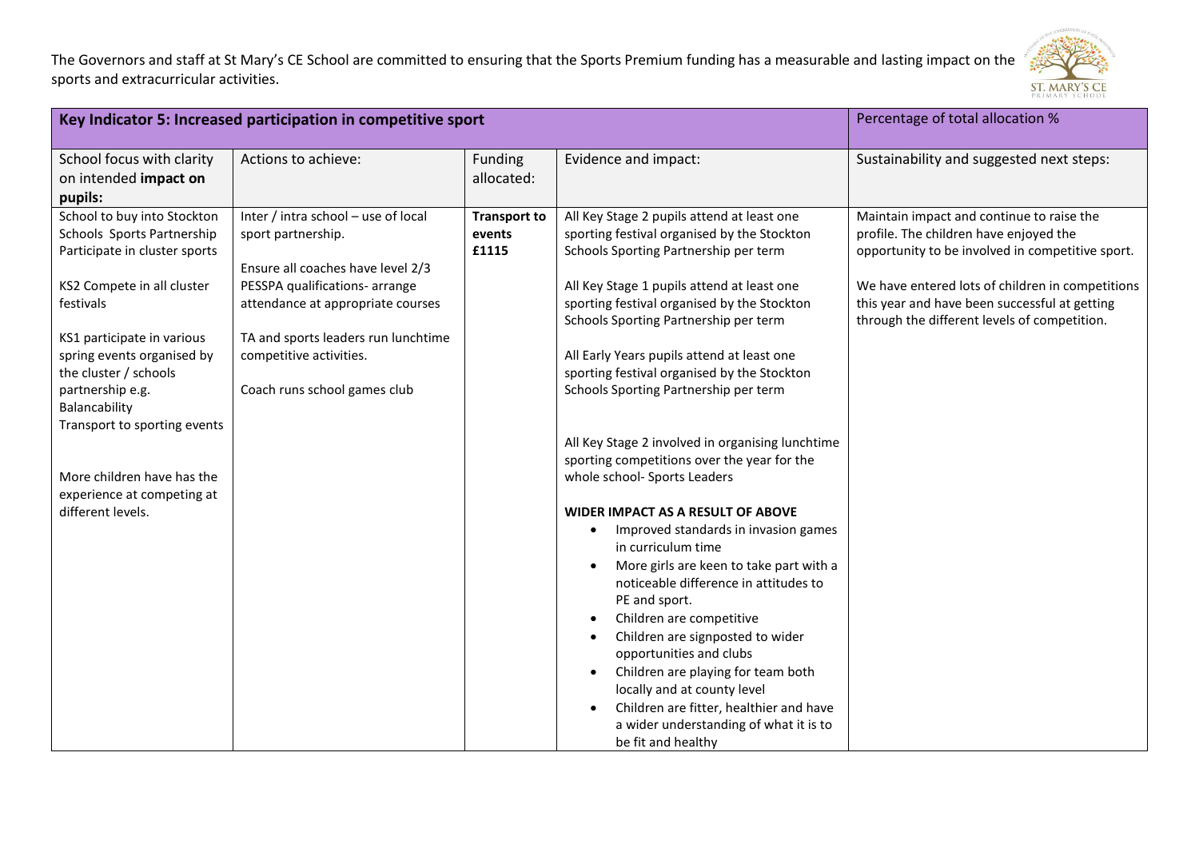

| Key Indicator 5: Increased participation in competitive sport                                                                                                                                                                                                                                                                                                                    |                                                                                                                                                                                                                                                                         |                                        | Percentage of total allocation %                                                                                                                                                                                                                                                                                                                                                                                                                                                                                                                                                                                                                                                                                                                                                                                                                                                                                                                                                                                                                                                   |                                                                                                                                                                                                                                                                                              |
|----------------------------------------------------------------------------------------------------------------------------------------------------------------------------------------------------------------------------------------------------------------------------------------------------------------------------------------------------------------------------------|-------------------------------------------------------------------------------------------------------------------------------------------------------------------------------------------------------------------------------------------------------------------------|----------------------------------------|------------------------------------------------------------------------------------------------------------------------------------------------------------------------------------------------------------------------------------------------------------------------------------------------------------------------------------------------------------------------------------------------------------------------------------------------------------------------------------------------------------------------------------------------------------------------------------------------------------------------------------------------------------------------------------------------------------------------------------------------------------------------------------------------------------------------------------------------------------------------------------------------------------------------------------------------------------------------------------------------------------------------------------------------------------------------------------|----------------------------------------------------------------------------------------------------------------------------------------------------------------------------------------------------------------------------------------------------------------------------------------------|
| School focus with clarity<br>on intended impact on<br>pupils:                                                                                                                                                                                                                                                                                                                    | Actions to achieve:                                                                                                                                                                                                                                                     | Funding<br>allocated:                  | Evidence and impact:                                                                                                                                                                                                                                                                                                                                                                                                                                                                                                                                                                                                                                                                                                                                                                                                                                                                                                                                                                                                                                                               | Sustainability and suggested next steps:                                                                                                                                                                                                                                                     |
| School to buy into Stockton<br>Schools Sports Partnership<br>Participate in cluster sports<br>KS2 Compete in all cluster<br>festivals<br>KS1 participate in various<br>spring events organised by<br>the cluster / schools<br>partnership e.g.<br>Balancability<br>Transport to sporting events<br>More children have has the<br>experience at competing at<br>different levels. | Inter / intra school - use of local<br>sport partnership.<br>Ensure all coaches have level 2/3<br>PESSPA qualifications- arrange<br>attendance at appropriate courses<br>TA and sports leaders run lunchtime<br>competitive activities.<br>Coach runs school games club | <b>Transport to</b><br>events<br>£1115 | All Key Stage 2 pupils attend at least one<br>sporting festival organised by the Stockton<br>Schools Sporting Partnership per term<br>All Key Stage 1 pupils attend at least one<br>sporting festival organised by the Stockton<br>Schools Sporting Partnership per term<br>All Early Years pupils attend at least one<br>sporting festival organised by the Stockton<br>Schools Sporting Partnership per term<br>All Key Stage 2 involved in organising lunchtime<br>sporting competitions over the year for the<br>whole school- Sports Leaders<br><b>WIDER IMPACT AS A RESULT OF ABOVE</b><br>Improved standards in invasion games<br>$\bullet$<br>in curriculum time<br>More girls are keen to take part with a<br>noticeable difference in attitudes to<br>PE and sport.<br>Children are competitive<br>$\bullet$<br>Children are signposted to wider<br>opportunities and clubs<br>Children are playing for team both<br>$\bullet$<br>locally and at county level<br>Children are fitter, healthier and have<br>a wider understanding of what it is to<br>be fit and healthy | Maintain impact and continue to raise the<br>profile. The children have enjoyed the<br>opportunity to be involved in competitive sport.<br>We have entered lots of children in competitions<br>this year and have been successful at getting<br>through the different levels of competition. |